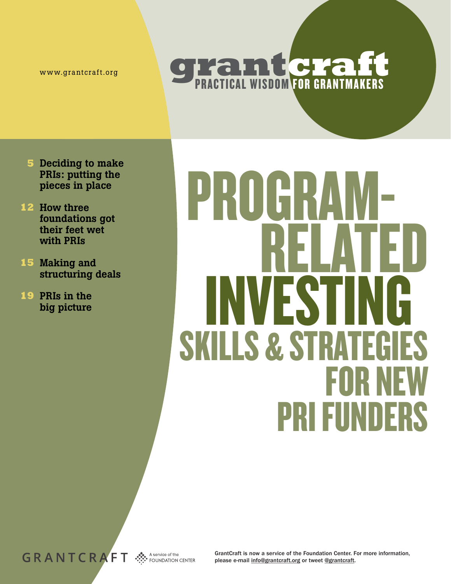www.grantcraft.org

## **grantcraft PRACTICAL WISDOM FOR GRANTMAKERS**

- Deciding to make **5** PRIs: putting the pieces in place
- 12 How three foundations got their feet wet with PRIs
- 15 Making and structuring deals
- 19 PRIs in the big picture

# PROGR RELATED INVESTing **SKILLS & STRATEGIES**<br>FOR NEW PRI Funders

A service of the **FOUNDATION CENTER** 

GrantCraft is now a service of the Foundation Center. For more information, please e-mail info@grantcraft.org or tweet @grantcraft.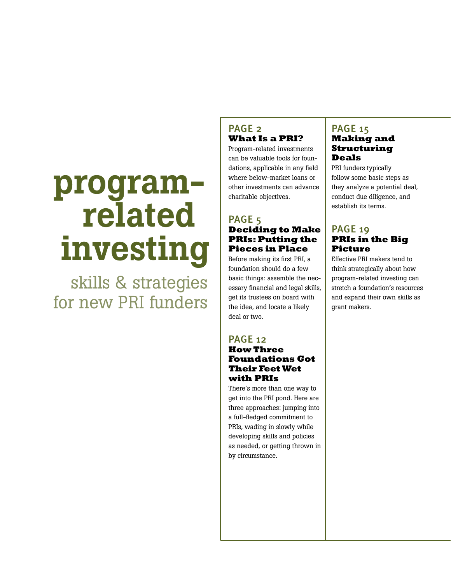## program related investing

 skills & strategies for new PRI funders

#### PAGE<sub>2</sub> **What Is a PRI?**

Program-related investments can be valuable tools for foundations, applicable in any field where below-market loans or other investments can advance charitable objectives.

#### PAGE<sub>5</sub> **Deciding to Make PRIs: Putting the Pieces in Place**

Before making its first PRI, a foundation should do a few basic things: assemble the necessary financial and legal skills, get its trustees on board with the idea, and locate a likely deal or two.

### PAGE 12

#### **How Three Foundations Got Their Feet Wet with PRIs**

There's more than one way to get into the PRI pond. Here are three approaches: jumping into a full-fledged commitment to PRIs, wading in slowly while developing skills and policies as needed, or getting thrown in by circumstance.

#### PAGE 15 **Making and Structuring Deals**

PRI funders typically follow some basic steps as they analyze a potential deal, conduct due diligence, and establish its terms.

#### PAGE 19 **PRIs in the Big Picture**

Effective PRI makers tend to think strategically about how program-related investing can stretch a foundation's resources and expand their own skills as grant makers.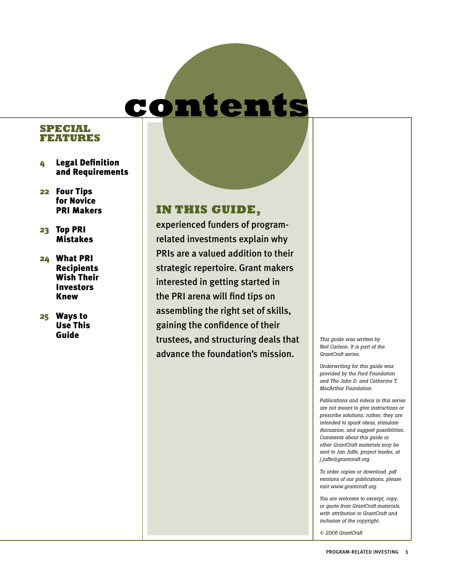## contents

#### **Special Features**

- 4 Legal Definition and Requirements
- 22 Four Tips for Novice PRI Makers
- 23 Top PRI Mistakes
- 24 What PRI Recipients Wish Their Investors Knew
- 25 Ways to Use This Guide

## **IN THIS GUIDE,**

experienced funders of programrelated investments explain why PRIs are a valued addition to their strategic repertoire. Grant makers interested in getting started in the PRI arena will find tips on assembling the right set of skills, gaining the confidence of their trustees, and structuring deals that advance the foundation's mission.

*This guide was written by Neil Carlson. It is part of the GrantCraft series.*

*Underwriting for this guide was provided by the Ford Foundation and The John D. and Catherine T. MacArthur Foundation.* 

*Publications and videos in this series are not meant to give instructions or prescribe solutions; rather, they are intended to spark ideas, stimulate discussion, and suggest possibilities. Comments about this guide or other GrantCraft materials may be sent to Jan Jaffe, project leader, at j.jaffe@grantcraft.org.*

*To order copies or download .pdf versions of our publications, please visit www.grantcraft.org.*

*You are welcome to excerpt, copy, or quote from GrantCraft materials, with attribution to GrantCraft and inclusion of the copyright.*

*© 2006 GrantCraft*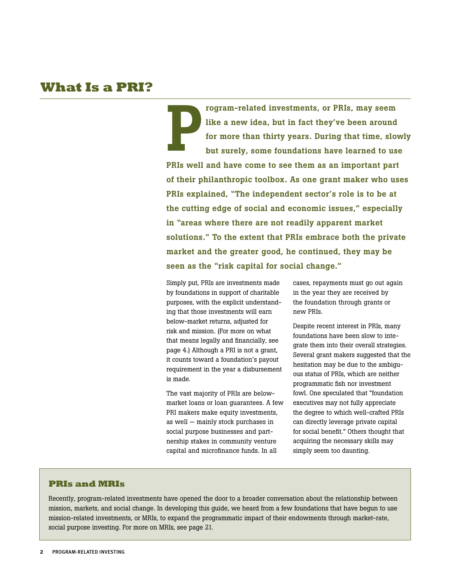### **What Is a PRI?**

P rogram-related investments, or PRIs, may seem like a new idea, but in fact they've been around for more than thirty years. During that time, slowly but surely, some foundations have learned to use PRIs well and have come to see them as an important part of their philanthropic toolbox. As one grant maker who uses PRIs explained, "The independent sector's role is to be at the cutting edge of social and economic issues," especially in "areas where there are not readily apparent market solutions." To the extent that PRIs embrace both the private market and the greater good, he continued, they may be seen as the "risk capital for social change."

Simply put, PRIs are investments made by foundations in support of charitable purposes, with the explicit understanding that those investments will earn below-market returns, adjusted for risk and mission. (For more on what that means legally and financially, see page 4.) Although a PRI is not a grant, it counts toward a foundation's payout requirement in the year a disbursement is made.

The vast majority of PRIs are belowmarket loans or loan guarantees. A few PRI makers make equity investments, as well — mainly stock purchases in social purpose businesses and partnership stakes in community venture capital and microfinance funds. In all

cases, repayments must go out again in the year they are received by the foundation through grants or new PRIs.

Despite recent interest in PRIs, many foundations have been slow to integrate them into their overall strategies. Several grant makers suggested that the hesitation may be due to the ambiguous status of PRIs, which are neither programmatic fish nor investment fowl. One speculated that "foundation executives may not fully appreciate the degree to which well-crafted PRIs can directly leverage private capital for social benefit." Others thought that acquiring the necessary skills may simply seem too daunting.

#### **PRIs and MRIs**

Recently, program-related investments have opened the door to a broader conversation about the relationship between mission, markets, and social change. In developing this guide, we heard from a few foundations that have begun to use mission-related investments, or MRIs, to expand the programmatic impact of their endowments through market-rate, social purpose investing. For more on MRIs, see page 21.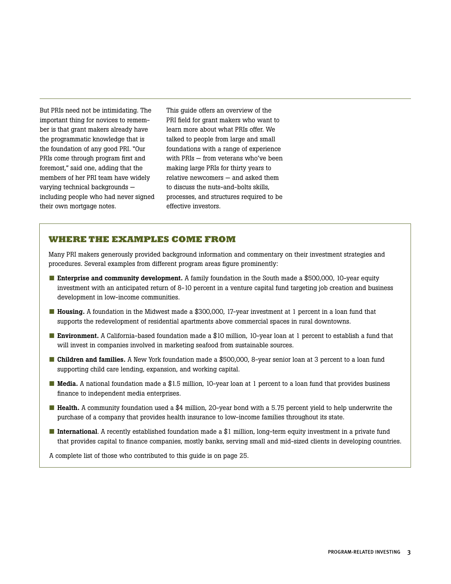But PRIs need not be intimidating. The important thing for novices to remember is that grant makers already have the programmatic knowledge that is the foundation of any good PRI. "Our PRIs come through program first and foremost," said one, adding that the members of her PRI team have widely varying technical backgrounds including people who had never signed their own mortgage notes.

This guide offers an overview of the PRI field for grant makers who want to learn more about what PRIs offer. We talked to people from large and small foundations with a range of experience with PRIs — from veterans who've been making large PRIs for thirty years to relative newcomers — and asked them to discuss the nuts-and-bolts skills, processes, and structures required to be effective investors.

#### **WHERE THE EXAMPLES COME FROM**

Many PRI makers generously provided background information and commentary on their investment strategies and procedures. Several examples from different program areas figure prominently:

- Enterprise and community development. A family foundation in the South made a \$500,000, 10-year equity investment with an anticipated return of 8-10 percent in a venture capital fund targeting job creation and business development in low-income communities.
- Housing. A foundation in the Midwest made a \$300,000, 17-year investment at 1 percent in a loan fund that supports the redevelopment of residential apartments above commercial spaces in rural downtowns.
- Environment. A California-based foundation made a \$10 million, 10-year loan at 1 percent to establish a fund that will invest in companies involved in marketing seafood from sustainable sources.
- Children and families. A New York foundation made a \$500,000, 8-year senior loan at 3 percent to a loan fund supporting child care lending, expansion, and working capital.
- Media. A national foundation made a \$1.5 million, 10-year loan at 1 percent to a loan fund that provides business finance to independent media enterprises.
- Health. A community foundation used a \$4 million, 20-year bond with a 5.75 percent yield to help underwrite the purchase of a company that provides health insurance to low-income families throughout its state.
- International. A recently established foundation made a \$1 million, long-term equity investment in a private fund that provides capital to finance companies, mostly banks, serving small and mid-sized clients in developing countries.

A complete list of those who contributed to this guide is on page 25.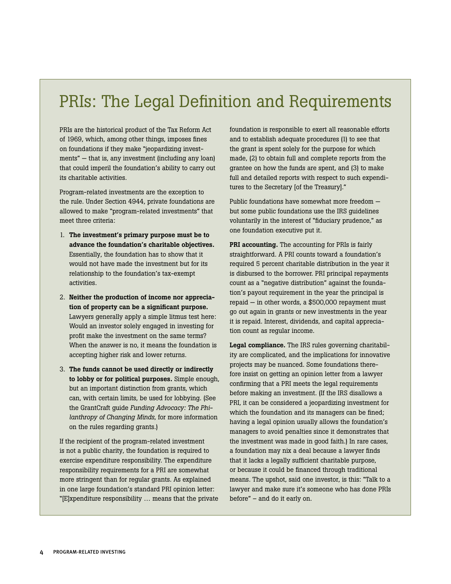## PRIs: The Legal Definition and Requirements

PRIs are the historical product of the Tax Reform Act of 1969, which, among other things, imposes fines on foundations if they make "jeopardizing investments" — that is, any investment (including any loan) that could imperil the foundation's ability to carry out its charitable activities.

Program-related investments are the exception to the rule. Under Section 4944, private foundations are allowed to make "program-related investments" that meet three criteria:

- 1. The investment's primary purpose must be to advance the foundation's charitable objectives. Essentially, the foundation has to show that it would not have made the investment but for its relationship to the foundation's tax-exempt activities.
- 2. Neither the production of income nor appreciation of property can be a significant purpose. Lawyers generally apply a simple litmus test here: Would an investor solely engaged in investing for profit make the investment on the same terms? When the answer is no, it means the foundation is accepting higher risk and lower returns.
- 3. The funds cannot be used directly or indirectly to lobby or for political purposes. Simple enough, but an important distinction from grants, which can, with certain limits, be used for lobbying. (See the GrantCraft guide *Funding Advocacy: The Philanthropy of Changing Minds*, for more information on the rules regarding grants.)

If the recipient of the program-related investment is not a public charity, the foundation is required to exercise expenditure responsibility. The expenditure responsibility requirements for a PRI are somewhat more stringent than for regular grants. As explained in one large foundation's standard PRI opinion letter: "[E]xpenditure responsibility … means that the private foundation is responsible to exert all reasonable efforts and to establish adequate procedures (1) to see that the grant is spent solely for the purpose for which made, (2) to obtain full and complete reports from the grantee on how the funds are spent, and (3) to make full and detailed reports with respect to such expenditures to the Secretary [of the Treasury]."

Public foundations have somewhat more freedom but some public foundations use the IRS guidelines voluntarily in the interest of "fiduciary prudence," as one foundation executive put it.

PRI accounting. The accounting for PRIs is fairly straightforward. A PRI counts toward a foundation's required 5 percent charitable distribution in the year it is disbursed to the borrower. PRI principal repayments count as a "negative distribution" against the foundation's payout requirement in the year the principal is repaid — in other words, a \$500,000 repayment must go out again in grants or new investments in the year it is repaid. Interest, dividends, and capital appreciation count as regular income.

Legal compliance. The IRS rules governing charitability are complicated, and the implications for innovative projects may be nuanced. Some foundations therefore insist on getting an opinion letter from a lawyer confirming that a PRI meets the legal requirements before making an investment. (If the IRS disallows a PRI, it can be considered a jeopardizing investment for which the foundation and its managers can be fined; having a legal opinion usually allows the foundation's managers to avoid penalties since it demonstrates that the investment was made in good faith.) In rare cases, a foundation may nix a deal because a lawyer finds that it lacks a legally sufficient charitable purpose, or because it could be financed through traditional means. The upshot, said one investor, is this: "Talk to a lawyer and make sure it's someone who has done PRIs before" – and do it early on.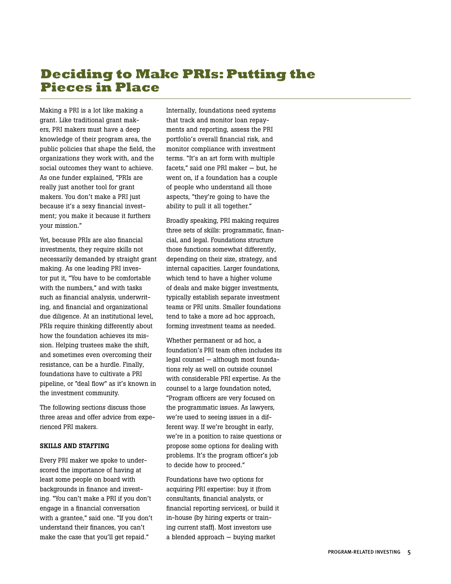## **Deciding to Make PRIs: Putting the Pieces in Place**

Making a PRI is a lot like making a grant. Like traditional grant makers, PRI makers must have a deep knowledge of their program area, the public policies that shape the field, the organizations they work with, and the social outcomes they want to achieve. As one funder explained, "PRIs are really just another tool for grant makers. You don't make a PRI just because it's a sexy financial investment; you make it because it furthers your mission."

Yet, because PRIs are also financial investments, they require skills not necessarily demanded by straight grant making. As one leading PRI investor put it, "You have to be comfortable with the numbers," and with tasks such as financial analysis, underwriting, and financial and organizational due diligence. At an institutional level, PRIs require thinking differently about how the foundation achieves its mission. Helping trustees make the shift, and sometimes even overcoming their resistance, can be a hurdle. Finally, foundations have to cultivate a PRI pipeline, or "deal flow" as it's known in the investment community.

The following sections discuss those three areas and offer advice from experienced PRI makers.

#### Skills and Staffing

Every PRI maker we spoke to underscored the importance of having at least some people on board with backgrounds in finance and investing. "You can't make a PRI if you don't engage in a financial conversation with a grantee," said one. "If you don't understand their finances, you can't make the case that you'll get repaid."

Internally, foundations need systems that track and monitor loan repayments and reporting, assess the PRI portfolio's overall financial risk, and monitor compliance with investment terms. "It's an art form with multiple facets," said one PRI maker — but, he went on, if a foundation has a couple of people who understand all those aspects, "they're going to have the ability to pull it all together."

Broadly speaking, PRI making requires three sets of skills: programmatic, financial, and legal. Foundations structure those functions somewhat differently, depending on their size, strategy, and internal capacities. Larger foundations, which tend to have a higher volume of deals and make bigger investments, typically establish separate investment teams or PRI units. Smaller foundations tend to take a more ad hoc approach, forming investment teams as needed.

Whether permanent or ad hoc, a foundation's PRI team often includes its legal counsel — although most foundations rely as well on outside counsel with considerable PRI expertise. As the counsel to a large foundation noted, "Program officers are very focused on the programmatic issues. As lawyers, we're used to seeing issues in a different way. If we're brought in early, we're in a position to raise questions or propose some options for dealing with problems. It's the program officer's job to decide how to proceed."

Foundations have two options for acquiring PRI expertise: buy it (from consultants, financial analysts, or financial reporting services), or build it in-house (by hiring experts or training current staff). Most investors use a blended approach — buying market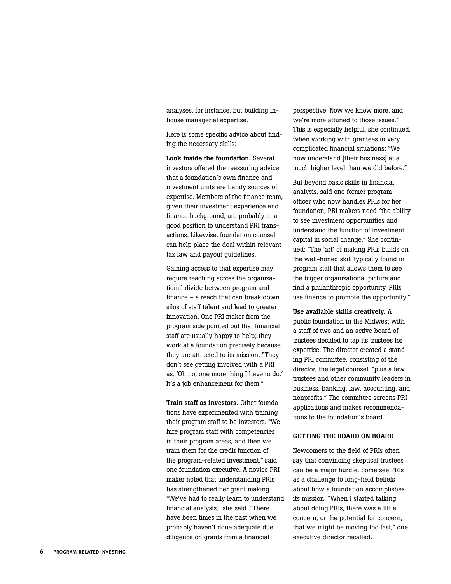analyses, for instance, but building inhouse managerial expertise.

Here is some specific advice about finding the necessary skills:

Look inside the foundation. Several investors offered the reassuring advice that a foundation's own finance and investment units are handy sources of expertise. Members of the finance team, given their investment experience and finance background, are probably in a good position to understand PRI transactions. Likewise, foundation counsel can help place the deal within relevant tax law and payout guidelines.

Gaining access to that expertise may require reaching across the organizational divide between program and finance – a reach that can break down silos of staff talent and lead to greater innovation. One PRI maker from the program side pointed out that financial staff are usually happy to help; they work at a foundation precisely because they are attracted to its mission: "They don't see getting involved with a PRI as, 'Oh no, one more thing I have to do.' It's a job enhancement for them."

Train staff as investors. Other foundations have experimented with training their program staff to be investors. "We hire program staff with competencies in their program areas, and then we train them for the credit function of the program-related investment," said one foundation executive. A novice PRI maker noted that understanding PRIs has strengthened her grant making. "We've had to really learn to understand financial analysis," she said. "There have been times in the past when we probably haven't done adequate due diligence on grants from a financial

perspective. Now we know more, and we're more attuned to those issues." This is especially helpful, she continued, when working with grantees in very complicated financial situations: "We now understand [their business] at a much higher level than we did before."

But beyond basic skills in financial analysis, said one former program officer who now handles PRIs for her foundation, PRI makers need "the ability to see investment opportunities and understand the function of investment capital in social change." She continued: "The 'art' of making PRIs builds on the well-honed skill typically found in program staff that allows them to see the bigger organizational picture and find a philanthropic opportunity. PRIs use finance to promote the opportunity."

Use available skills creatively. A public foundation in the Midwest with a staff of two and an active board of trustees decided to tap its trustees for expertise. The director created a standing PRI committee, consisting of the director, the legal counsel, "plus a few trustees and other community leaders in business, banking, law, accounting, and nonprofits." The committee screens PRI applications and makes recommendations to the foundation's board.

#### GETTING THE BOARD ON BOARD

Newcomers to the field of PRIs often say that convincing skeptical trustees can be a major hurdle. Some see PRIs as a challenge to long-held beliefs about how a foundation accomplishes its mission. "When I started talking about doing PRIs, there was a little concern, or the potential for concern, that we might be moving too fast," one executive director recalled.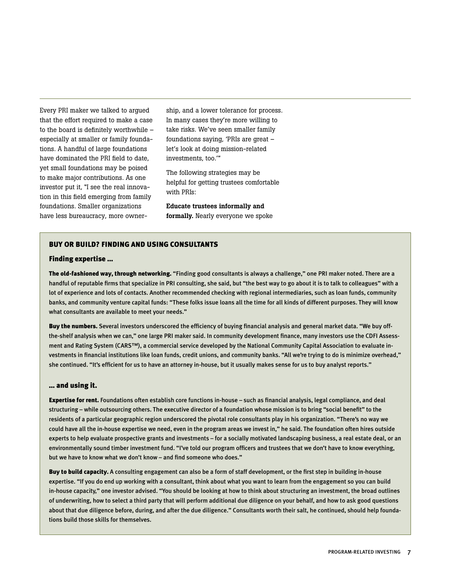Every PRI maker we talked to argued that the effort required to make a case to the board is definitely worthwhile – especially at smaller or family foundations. A handful of large foundations have dominated the PRI field to date, yet small foundations may be poised to make major contributions. As one investor put it, "I see the real innovation in this field emerging from family foundations. Smaller organizations have less bureaucracy, more ownership, and a lower tolerance for process. In many cases they're more willing to take risks. We've seen smaller family foundations saying, 'PRIs are great – let's look at doing mission-related investments, too.'"

The following strategies may be helpful for getting trustees comfortable with PRIs:

Educate trustees informally and formally. Nearly everyone we spoke

#### Buy or build? Finding and using consultants

#### Finding expertise …

The old-fashioned way, through networking. "Finding good consultants is always a challenge," one PRI maker noted. There are a handful of reputable firms that specialize in PRI consulting, she said, but "the best way to go about it is to talk to colleagues" with a lot of experience and lots of contacts. Another recommended checking with regional intermediaries, such as loan funds, community banks, and community venture capital funds: "These folks issue loans all the time for all kinds of different purposes. They will know what consultants are available to meet your needs."

Buy the numbers. Several investors underscored the efficiency of buying financial analysis and general market data. "We buy offthe-shelf analysis when we can," one large PRI maker said. In community development finance, many investors use the CDFI Assessment and Rating System (CARS™), a commercial service developed by the National Community Capital Association to evaluate investments in financial institutions like loan funds, credit unions, and community banks. "All we're trying to do is minimize overhead," she continued. "It's efficient for us to have an attorney in-house, but it usually makes sense for us to buy analyst reports."

#### … and using it.

Expertise for rent. Foundations often establish core functions in-house – such as financial analysis, legal compliance, and deal structuring – while outsourcing others. The executive director of a foundation whose mission is to bring "social benefit" to the residents of a particular geographic region underscored the pivotal role consultants play in his organization. "There's no way we could have all the in-house expertise we need, even in the program areas we invest in," he said. The foundation often hires outside experts to help evaluate prospective grants and investments – for a socially motivated landscaping business, a real estate deal, or an environmentally sound timber investment fund. "I've told our program officers and trustees that we don't have to know everything, but we have to know what we don't know – and find someone who does."

Buy to build capacity. A consulting engagement can also be a form of staff development, or the first step in building in-house expertise. "If you do end up working with a consultant, think about what you want to learn from the engagement so you can build in-house capacity," one investor advised. "You should be looking at how to think about structuring an investment, the broad outlines of underwriting, how to select a third party that will perform additional due diligence on your behalf, and how to ask good questions about that due diligence before, during, and after the due diligence." Consultants worth their salt, he continued, should help foundations build those skills for themselves.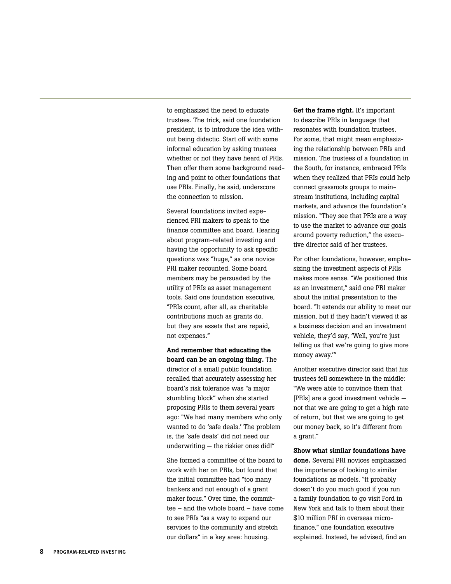to emphasized the need to educate trustees. The trick, said one foundation president, is to introduce the idea without being didactic. Start off with some informal education by asking trustees whether or not they have heard of PRIs. Then offer them some background reading and point to other foundations that use PRIs. Finally, he said, underscore the connection to mission.

Several foundations invited experienced PRI makers to speak to the finance committee and board. Hearing about program-related investing and having the opportunity to ask specific questions was "huge," as one novice PRI maker recounted. Some board members may be persuaded by the utility of PRIs as asset management tools. Said one foundation executive, "PRIs count, after all, as charitable contributions much as grants do, but they are assets that are repaid, not expenses."

And remember that educating the board can be an ongoing thing. The director of a small public foundation recalled that accurately assessing her board's risk tolerance was "a major stumbling block" when she started proposing PRIs to them several years ago: "We had many members who only wanted to do 'safe deals.' The problem is, the 'safe deals' did not need our underwriting — the riskier ones did!"

She formed a committee of the board to work with her on PRIs, but found that the initial committee had "too many bankers and not enough of a grant maker focus." Over time, the committee – and the whole board – have come to see PRIs "as a way to expand our services to the community and stretch our dollars" in a key area: housing.

Get the frame right. It's important to describe PRIs in language that resonates with foundation trustees. For some, that might mean emphasizing the relationship between PRIs and mission. The trustees of a foundation in the South, for instance, embraced PRIs when they realized that PRIs could help connect grassroots groups to mainstream institutions, including capital markets, and advance the foundation's mission. "They see that PRIs are a way to use the market to advance our goals around poverty reduction," the executive director said of her trustees.

For other foundations, however, emphasizing the investment aspects of PRIs makes more sense. "We positioned this as an investment," said one PRI maker about the initial presentation to the board. "It extends our ability to meet our mission, but if they hadn't viewed it as a business decision and an investment vehicle, they'd say, 'Well, you're just telling us that we're going to give more money away.'"

Another executive director said that his trustees fell somewhere in the middle: "We were able to convince them that [PRIs] are a good investment vehicle not that we are going to get a high rate of return, but that we are going to get our money back, so it's different from a grant."

Show what similar foundations have done. Several PRI novices emphasized the importance of looking to similar foundations as models. "It probably doesn't do you much good if you run a family foundation to go visit Ford in New York and talk to them about their \$10 million PRI in overseas microfinance," one foundation executive explained. Instead, he advised, find an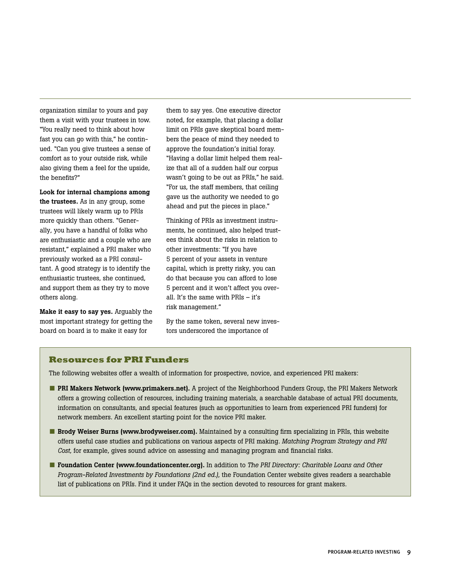organization similar to yours and pay them a visit with your trustees in tow. "You really need to think about how fast you can go with this," he continued. "Can you give trustees a sense of comfort as to your outside risk, while also giving them a feel for the upside, the benefits?"

Look for internal champions among the trustees. As in any group, some trustees will likely warm up to PRIs more quickly than others. "Generally, you have a handful of folks who are enthusiastic and a couple who are resistant," explained a PRI maker who previously worked as a PRI consultant. A good strategy is to identify the enthusiastic trustees, she continued, and support them as they try to move others along.

Make it easy to say yes. Arguably the most important strategy for getting the board on board is to make it easy for

them to say yes. One executive director noted, for example, that placing a dollar limit on PRIs gave skeptical board members the peace of mind they needed to approve the foundation's initial foray. "Having a dollar limit helped them realize that all of a sudden half our corpus wasn't going to be out as PRIs," he said. "For us, the staff members, that ceiling gave us the authority we needed to go ahead and put the pieces in place."

Thinking of PRIs as investment instruments, he continued, also helped trustees think about the risks in relation to other investments: "If you have 5 percent of your assets in venture capital, which is pretty risky, you can do that because you can afford to lose 5 percent and it won't affect you overall. It's the same with PRIs – it's risk management."

By the same token, several new investors underscored the importance of

#### **Resources for PRI Funders**

The following websites offer a wealth of information for prospective, novice, and experienced PRI makers:

- PRI Makers Network (www.primakers.net). A project of the Neighborhood Funders Group, the PRI Makers Network offers a growing collection of resources, including training materials, a searchable database of actual PRI documents, information on consultants, and special features (such as opportunities to learn from experienced PRI funders) for network members. An excellent starting point for the novice PRI maker.
- Brody Weiser Burns (www.brodyweiser.com). Maintained by a consulting firm specializing in PRIs, this website offers useful case studies and publications on various aspects of PRI making. *Matching Program Strategy and PRI Cost*, for example, gives sound advice on assessing and managing program and financial risks.
- **Foundation Center (www.foundationcenter.org).** In addition to *The PRI Directory: Charitable Loans and Other Program-Related Investments by Foundations (2nd ed.)*, the Foundation Center website gives readers a searchable list of publications on PRIs. Find it under FAQs in the section devoted to resources for grant makers.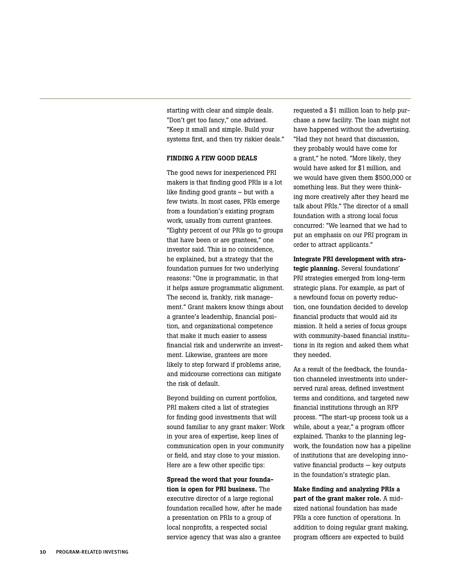starting with clear and simple deals. "Don't get too fancy," one advised. "Keep it small and simple. Build your systems first, and then try riskier deals."

#### FINDING A FEW GOOD DEALS

The good news for inexperienced PRI makers is that finding good PRIs is a lot like finding good grants – but with a few twists. In most cases, PRIs emerge from a foundation's existing program work, usually from current grantees. "Eighty percent of our PRIs go to groups that have been or are grantees," one investor said. This is no coincidence, he explained, but a strategy that the foundation pursues for two underlying reasons: "One is programmatic, in that it helps assure programmatic alignment. The second is, frankly, risk management." Grant makers know things about a grantee's leadership, financial position, and organizational competence that make it much easier to assess financial risk and underwrite an investment. Likewise, grantees are more likely to step forward if problems arise, and midcourse corrections can mitigate the risk of default.

Beyond building on current portfolios, PRI makers cited a list of strategies for finding good investments that will sound familiar to any grant maker: Work in your area of expertise, keep lines of communication open in your community or field, and stay close to your mission. Here are a few other specific tips:

Spread the word that your foundation is open for PRI business. The executive director of a large regional foundation recalled how, after he made a presentation on PRIs to a group of local nonprofits, a respected social service agency that was also a grantee

requested a \$1 million loan to help purchase a new facility. The loan might not have happened without the advertising. "Had they not heard that discussion, they probably would have come for a grant," he noted. "More likely, they would have asked for \$1million, and we would have given them \$500,000 or something less. But they were thinking more creatively after they heard me talk about PRIs." The director of a small foundation with a strong local focus concurred: "We learned that we had to put an emphasis on our PRI program in order to attract applicants."

Integrate PRI development with strategic planning. Several foundations' PRI strategies emerged from long-term strategic plans. For example, as part of a newfound focus on poverty reduction, one foundation decided to develop financial products that would aid its mission. It held a series of focus groups with community-based financial institutions in its region and asked them what they needed.

As a result of the feedback, the foundation channeled investments into underserved rural areas, defined investment terms and conditions, and targeted new financial institutions through an RFP process. "The start-up process took us a while, about a year," a program officer explained. Thanks to the planning legwork, the foundation now has a pipeline of institutions that are developing innovative financial products — key outputs in the foundation's strategic plan.

Make finding and analyzing PRIs a part of the grant maker role. A midsized national foundation has made PRIs a core function of operations. In addition to doing regular grant making, program officers are expected to build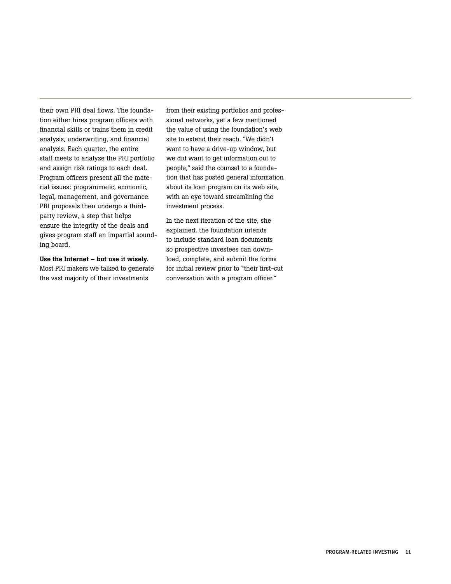their own PRI deal flows. The foundation either hires program officers with financial skills or trains them in credit analysis, underwriting, and financial analysis. Each quarter, the entire staff meets to analyze the PRI portfolio and assign risk ratings to each deal. Program officers present all the material issues: programmatic, economic, legal, management, and governance. PRI proposals then undergo a thirdparty review, a step that helps ensure the integrity of the deals and gives program staff an impartial sounding board.

Use the Internet – but use it wisely. Most PRI makers we talked to generate the vast majority of their investments

from their existing portfolios and professional networks, yet a few mentioned the value of using the foundation's web site to extend their reach. "We didn't want to have a drive-up window, but we did want to get information out to people," said the counsel to a foundation that has posted general information about its loan program on its web site, with an eye toward streamlining the investment process.

In the next iteration of the site, she explained, the foundation intends to include standard loan documents so prospective investees can download, complete, and submit the forms for initial review prior to "their first-cut conversation with a program officer."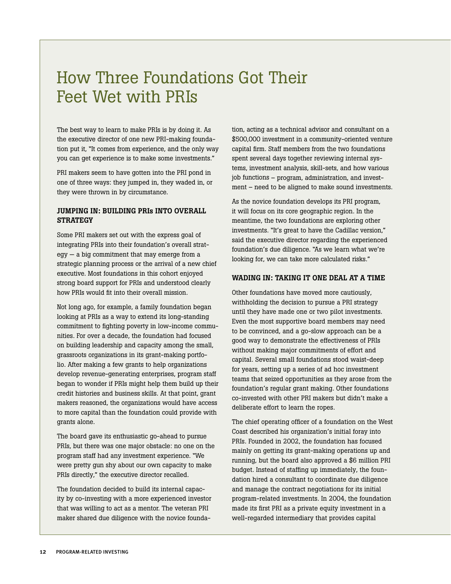## How Three Foundations Got Their Feet Wet with PRIs

The best way to learn to make PRIs is by doing it. As the executive director of one new PRI-making foundation put it, "It comes from experience, and the only way you can get experience is to make some investments."

PRI makers seem to have gotten into the PRI pond in one of three ways: they jumped in, they waded in, or they were thrown in by circumstance.

#### Jumping In: Building PRIs into Overall **STRATEGY**

Some PRI makers set out with the express goal of integrating PRIs into their foundation's overall strategy — a big commitment that may emerge from a strategic planning process or the arrival of a new chief executive. Most foundations in this cohort enjoyed strong board support for PRIs and understood clearly how PRIs would fit into their overall mission.

Not long ago, for example, a family foundation began looking at PRIs as a way to extend its long-standing commitment to fighting poverty in low-income communities. For over a decade, the foundation had focused on building leadership and capacity among the small, grassroots organizations in its grant-making portfolio. After making a few grants to help organizations develop revenue-generating enterprises, program staff began to wonder if PRIs might help them build up their credit histories and business skills. At that point, grant makers reasoned, the organizations would have access to more capital than the foundation could provide with grants alone.

The board gave its enthusiastic go-ahead to pursue PRIs, but there was one major obstacle: no one on the program staff had any investment experience. "We were pretty gun shy about our own capacity to make PRIs directly," the executive director recalled.

The foundation decided to build its internal capacity by co-investing with a more experienced investor that was willing to act as a mentor. The veteran PRI maker shared due diligence with the novice foundation, acting as a technical advisor and consultant on a \$500,000 investment in a community-oriented venture capital firm. Staff members from the two foundations spent several days together reviewing internal systems, investment analysis, skill-sets, and how various job functions – program, administration, and investment – need to be aligned to make sound investments.

As the novice foundation develops its PRI program, it will focus on its core geographic region. In the meantime, the two foundations are exploring other investments. "It's great to have the Cadillac version," said the executive director regarding the experienced foundation's due diligence. "As we learn what we're looking for, we can take more calculated risks."

#### WADING IN: TAKING IT ONE DEAL AT A TIME

Other foundations have moved more cautiously, withholding the decision to pursue a PRI strategy until they have made one or two pilot investments. Even the most supportive board members may need to be convinced, and a go-slow approach can be a good way to demonstrate the effectiveness of PRIs without making major commitments of effort and capital. Several small foundations stood waist-deep for years, setting up a series of ad hoc investment teams that seized opportunities as they arose from the foundation's regular grant making. Other foundations co-invested with other PRI makers but didn't make a deliberate effort to learn the ropes.

The chief operating officer of a foundation on the West Coast described his organization's initial foray into PRIs. Founded in 2002, the foundation has focused mainly on getting its grant-making operations up and running, but the board also approved a \$6 million PRI budget. Instead of staffing up immediately, the foundation hired a consultant to coordinate due diligence and manage the contract negotiations for its initial program-related investments. In 2004, the foundation made its first PRI as a private equity investment in a well-regarded intermediary that provides capital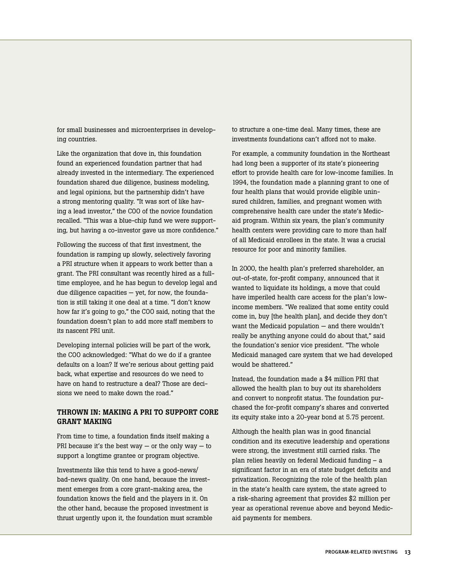for small businesses and microenterprises in developing countries.

Like the organization that dove in, this foundation found an experienced foundation partner that had already invested in the intermediary. The experienced foundation shared due diligence, business modeling, and legal opinions, but the partnership didn't have a strong mentoring quality. "It was sort of like having a lead investor," the COO of the novice foundation recalled. "This was a blue-chip fund we were supporting, but having a co-investor gave us more confidence."

Following the success of that first investment, the foundation is ramping up slowly, selectively favoring a PRI structure when it appears to work better than a grant. The PRI consultant was recently hired as a fulltime employee, and he has begun to develop legal and due diligence capacities — yet, for now, the foundation is still taking it one deal at a time. "I don't know how far it's going to go," the COO said, noting that the foundation doesn't plan to add more staff members to its nascent PRI unit.

Developing internal policies will be part of the work, the COO acknowledged: "What do we do if a grantee defaults on a loan? If we're serious about getting paid back, what expertise and resources do we need to have on hand to restructure a deal? Those are decisions we need to make down the road."

#### Thrown In: Making a PRI to Support Core Grant Making

From time to time, a foundation finds itself making a PRI because it's the best way  $-$  or the only way  $-$  to support a longtime grantee or program objective.

Investments like this tend to have a good-news/ bad-news quality. On one hand, because the investment emerges from a core grant-making area, the foundation knows the field and the players in it. On the other hand, because the proposed investment is thrust urgently upon it, the foundation must scramble to structure a one-time deal. Many times, these are investments foundations can't afford not to make.

For example, a community foundation in the Northeast had long been a supporter of its state's pioneering effort to provide health care for low-income families. In 1994, the foundation made a planning grant to one of four health plans that would provide eligible uninsured children, families, and pregnant women with comprehensive health care under the state's Medicaid program. Within six years, the plan's community health centers were providing care to more than half of all Medicaid enrollees in the state. It was a crucial resource for poor and minority families.

In 2000, the health plan's preferred shareholder, an out-of-state, for-profit company, announced that it wanted to liquidate its holdings, a move that could have imperiled health care access for the plan's lowincome members. "We realized that some entity could come in, buy [the health plan], and decide they don't want the Medicaid population — and there wouldn't really be anything anyone could do about that," said the foundation's senior vice president. "The whole Medicaid managed care system that we had developed would be shattered."

Instead, the foundation made a \$4 million PRI that allowed the health plan to buy out its shareholders and convert to nonprofit status. The foundation purchased the for-profit company's shares and converted its equity stake into a 20-year bond at 5.75 percent.

Although the health plan was in good financial condition and its executive leadership and operations were strong, the investment still carried risks. The plan relies heavily on federal Medicaid funding – a significant factor in an era of state budget deficits and privatization. Recognizing the role of the health plan in the state's health care system, the state agreed to a risk-sharing agreement that provides \$2 million per year as operational revenue above and beyond Medicaid payments for members.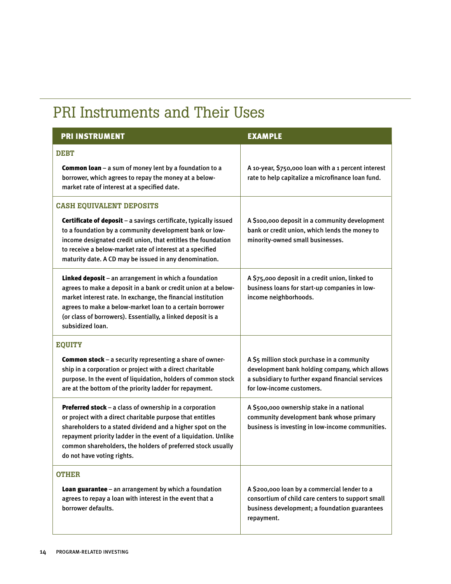## PRI Instruments and Their Uses

| <b>PRI INSTRUMENT</b>                                                                                                                                                                                                                                                                                                                              | <b>EXAMPLE</b>                                                                                                                                                                  |
|----------------------------------------------------------------------------------------------------------------------------------------------------------------------------------------------------------------------------------------------------------------------------------------------------------------------------------------------------|---------------------------------------------------------------------------------------------------------------------------------------------------------------------------------|
| <b>DEBT</b>                                                                                                                                                                                                                                                                                                                                        |                                                                                                                                                                                 |
| Common loan - a sum of money lent by a foundation to a<br>borrower, which agrees to repay the money at a below-<br>market rate of interest at a specified date.                                                                                                                                                                                    | A 10-year, \$750,000 loan with a 1 percent interest<br>rate to help capitalize a microfinance loan fund.                                                                        |
| <b>CASH EQUIVALENT DEPOSITS</b>                                                                                                                                                                                                                                                                                                                    |                                                                                                                                                                                 |
| Certificate of deposit - a savings certificate, typically issued<br>to a foundation by a community development bank or low-<br>income designated credit union, that entitles the foundation<br>to receive a below-market rate of interest at a specified<br>maturity date. A CD may be issued in any denomination.                                 | A \$100,000 deposit in a community development<br>bank or credit union, which lends the money to<br>minority-owned small businesses.                                            |
| Linked deposit - an arrangement in which a foundation<br>agrees to make a deposit in a bank or credit union at a below-<br>market interest rate. In exchange, the financial institution<br>agrees to make a below-market loan to a certain borrower<br>(or class of borrowers). Essentially, a linked deposit is a<br>subsidized loan.             | A \$75,000 deposit in a credit union, linked to<br>business loans for start-up companies in low-<br>income neighborhoods.                                                       |
| <b>EQUITY</b>                                                                                                                                                                                                                                                                                                                                      |                                                                                                                                                                                 |
| <b>Common stock</b> - a security representing a share of owner-<br>ship in a corporation or project with a direct charitable<br>purpose. In the event of liquidation, holders of common stock<br>are at the bottom of the priority ladder for repayment.                                                                                           | A \$5 million stock purchase in a community<br>development bank holding company, which allows<br>a subsidiary to further expand financial services<br>for low-income customers. |
| Preferred stock - a class of ownership in a corporation<br>or project with a direct charitable purpose that entitles<br>shareholders to a stated dividend and a higher spot on the<br>repayment priority ladder in the event of a liquidation. Unlike<br>common shareholders, the holders of preferred stock usually<br>do not have voting rights. | A \$500,000 ownership stake in a national<br>community development bank whose primary<br>business is investing in low-income communities.                                       |
| <b>OTHER</b>                                                                                                                                                                                                                                                                                                                                       |                                                                                                                                                                                 |
| Loan guarantee - an arrangement by which a foundation<br>agrees to repay a loan with interest in the event that a<br>borrower defaults.                                                                                                                                                                                                            | A \$200,000 loan by a commercial lender to a<br>consortium of child care centers to support small<br>business development; a foundation guarantees<br>repayment.                |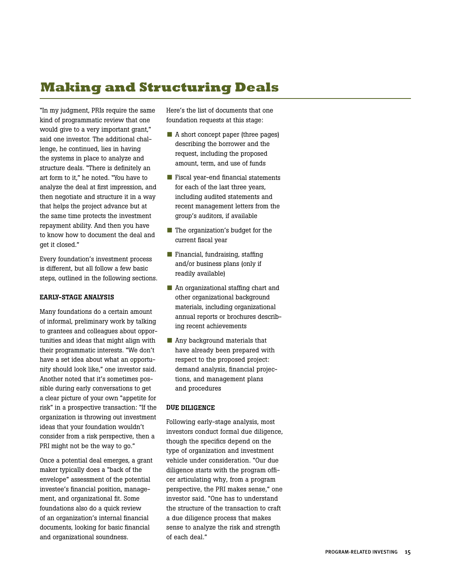## **Making and Structuring Deals**

"In my judgment, PRIs require the same kind of programmatic review that one would give to a very important grant," said one investor. The additional challenge, he continued, lies in having the systems in place to analyze and structure deals. "There is definitely an art form to it," he noted. "You have to analyze the deal at first impression, and then negotiate and structure it in a way that helps the project advance but at the same time protects the investment repayment ability. And then you have to know how to document the deal and get it closed."

Every foundation's investment process is different, but all follow a few basic steps, outlined in the following sections.

#### Early-Stage Analysis

Many foundations do a certain amount of informal, preliminary work by talking to grantees and colleagues about opportunities and ideas that might align with their programmatic interests. "We don't have a set idea about what an opportunity should look like," one investor said. Another noted that it's sometimes possible during early conversations to get a clear picture of your own "appetite for risk" in a prospective transaction: "If the organization is throwing out investment ideas that your foundation wouldn't consider from a risk perspective, then a PRI might not be the way to go."

Once a potential deal emerges, a grant maker typically does a "back of the envelope" assessment of the potential investee's financial position, management, and organizational fit. Some foundations also do a quick review of an organization's internal financial documents, looking for basic financial and organizational soundness.

Here's the list of documents that one foundation requests at this stage:

- A short concept paper (three pages) describing the borrower and the request, including the proposed amount, term, and use of funds
- Fiscal year-end financial statements for each of the last three years, including audited statements and recent management letters from the group's auditors, if available
- The organization's budget for the current fiscal year
- Financial, fundraising, staffing and/or business plans (only if readily available)
- An organizational staffing chart and other organizational background materials, including organizational annual reports or brochures describing recent achievements
- Any background materials that have already been prepared with respect to the proposed project: demand analysis, financial projections, and management plans and procedures

#### Due Diligence

Following early-stage analysis, most investors conduct formal due diligence, though the specifics depend on the type of organization and investment vehicle under consideration. "Our due diligence starts with the program officer articulating why, from a program perspective, the PRI makes sense," one investor said. "One has to understand the structure of the transaction to craft a due diligence process that makes sense to analyze the risk and strength of each deal."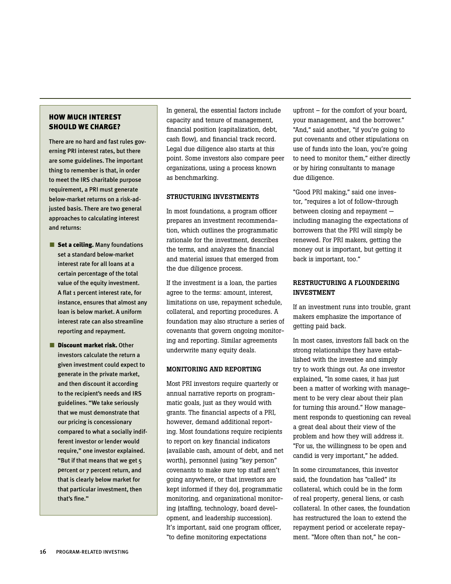#### How Much interest SHOULD WE CHARGE?

There are no hard and fast rules governing PRI interest rates, but there are some guidelines. The important thing to remember is that, in order to meet the IRS charitable purpose requirement, a PRI must generate below-market returns on a risk-adjusted basis. There are two general approaches to calculating interest and returns:

- Set a ceiling. Many foundations set a standard below-market interest rate for all loans at a certain percentage of the total value of the equity investment. A flat 1 percent interest rate, for instance, ensures that almost any loan is below market. A uniform interest rate can also streamline reporting and repayment.
- Discount market risk. Other investors calculate the return a given investment could expect to generate in the private market, and then discount it according to the recipient's needs and IRS guidelines. "We take seriously that we must demonstrate that our pricing is concessionary compared to what a socially indifferent investor or lender would require," one investor explained. "But if that means that we get 5 percent or 7 percent return, and that is clearly below market for that particular investment, then that's fine."

In general, the essential factors include capacity and tenure of management, financial position (capitalization, debt, cash flow), and financial track record. Legal due diligence also starts at this point. Some investors also compare peer organizations, using a process known as benchmarking.

#### Structuring Investments

In most foundations, a program officer prepares an investment recommendation, which outlines the programmatic rationale for the investment, describes the terms, and analyzes the financial and material issues that emerged from the due diligence process.

If the investment is a loan, the parties agree to the terms: amount, interest, limitations on use, repayment schedule, collateral, and reporting procedures. A foundation may also structure a series of covenants that govern ongoing monitoring and reporting. Similar agreements underwrite many equity deals.

#### Monitoring and Reporting

Most PRI investors require quarterly or annual narrative reports on programmatic goals, just as they would with grants. The financial aspects of a PRI, however, demand additional reporting. Most foundations require recipients to report on key financial indicators (available cash, amount of debt, and net worth), personnel (using "key person" covenants to make sure top staff aren't going anywhere, or that investors are kept informed if they do), programmatic monitoring, and organizational monitoring (staffing, technology, board development, and leadership succession). It's important, said one program officer, "to define monitoring expectations

upfront – for the comfort of your board, your management, and the borrower." "And," said another, "if you're going to put covenants and other stipulations on use of funds into the loan, you're going to need to monitor them," either directly or by hiring consultants to manage due diligence.

"Good PRI making," said one investor, "requires a lot of follow-through between closing and repayment including managing the expectations of borrowers that the PRI will simply be renewed. For PRI makers, getting the money out is important, but getting it back is important, too."

#### RESTRUCTURING A FLOUNDERING Investment

If an investment runs into trouble, grant makers emphasize the importance of getting paid back.

In most cases, investors fall back on the strong relationships they have established with the investee and simply try to work things out. As one investor explained, "In some cases, it has just been a matter of working with management to be very clear about their plan for turning this around." How management responds to questioning can reveal a great deal about their view of the problem and how they will address it. "For us, the willingness to be open and candid is very important," he added.

In some circumstances, this investor said, the foundation has "called" its collateral, which could be in the form of real property, general liens, or cash collateral. In other cases, the foundation has restructured the loan to extend the repayment period or accelerate repayment. "More often than not," he con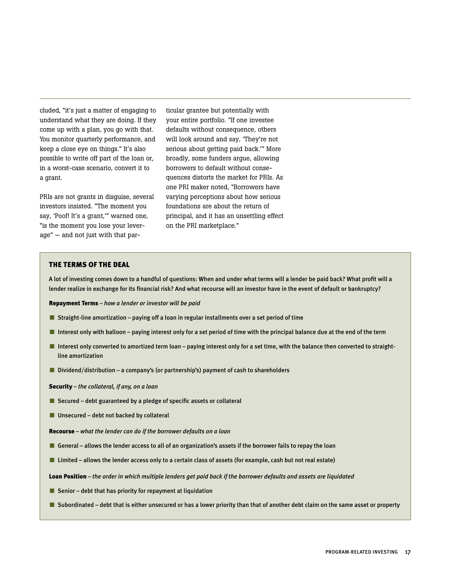cluded, "it's just a matter of engaging to understand what they are doing. If they come up with a plan, you go with that. You monitor quarterly performance, and keep a close eye on things." It's also possible to write off part of the loan or, in a worst-case scenario, convert it to a grant.

PRIs are not grants in disguise, several investors insisted. "The moment you say, 'Poof! It's a grant,'" warned one, "is the moment you lose your leverage" — and not just with that par-

ticular grantee but potentially with your entire portfolio. "If one investee defaults without consequence, others will look around and say, 'They're not serious about getting paid back.'" More broadly, some funders argue, allowing borrowers to default without consequences distorts the market for PRIs. As one PRI maker noted, "Borrowers have varying perceptions about how serious foundations are about the return of principal, and it has an unsettling effect on the PRI marketplace."

#### The Terms of the Deal

A lot of investing comes down to a handful of questions: When and under what terms will a lender be paid back? What profit will a lender realize in exchange for its financial risk? And what recourse will an investor have in the event of default or bankruptcy?

Repayment Terms *– how a lender or investor will be paid*

- Straight-line amortization paying off a loan in regular installments over a set period of time
- Interest only with balloon paying interest only for a set period of time with the principal balance due at the end of the term
- Interest only converted to amortized term loan paying interest only for a set time, with the balance then converted to straightline amortization
- Dividend/distribution a company's (or partnership's) payment of cash to shareholders

Security – *the collateral, if any, on a loan*

- Secured debt guaranteed by a pledge of specific assets or collateral
- Unsecured debt not backed by collateral
- Recourse *what the lender can do if the borrower defaults on a loan*
- General allows the lender access to all of an organization's assets if the borrower fails to repay the loan
- Limited allows the lender access only to a certain class of assets (for example, cash but not real estate)

Loan Position – *the order in which multiple lenders get paid back if the borrower defaults and assets are liquidated*

- Senior debt that has priority for repayment at liquidation
- Subordinated debt that is either unsecured or has a lower priority than that of another debt claim on the same asset or property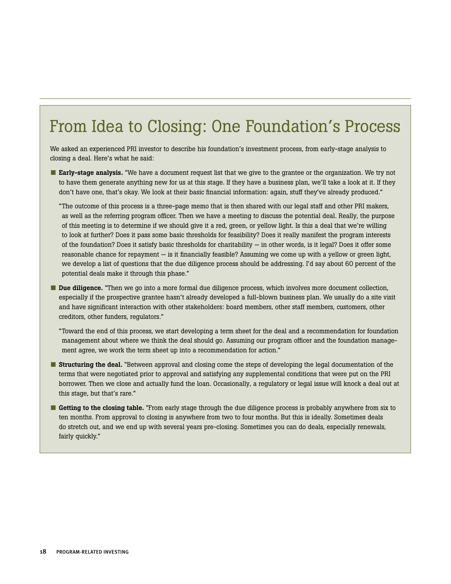## From Idea to Closing: One Foundation's Process

We asked an experienced PRI investor to describe his foundation's investment process, from early-stage analysis to closing a deal. Here's what he said:

■ Early-stage analysis. "We have a document request list that we give to the grantee or the organization. We try not to have them generate anything new for us at this stage. If they have a business plan, we'll take a look at it. If they don't have one, that's okay. We look at their basic financial information: again, stuff they've already produced."

"The outcome of this process is a three-page memo that is then shared with our legal staff and other PRI makers, as well as the referring program officer. Then we have a meeting to discuss the potential deal. Really, the purpose of this meeting is to determine if we should give it a red, green, or yellow light. Is this a deal that we're willing to look at further? Does it pass some basic thresholds for feasibility? Does it really manifest the program interests of the foundation? Does it satisfy basic thresholds for charitability — in other words, is it legal? Does it offer some reasonable chance for repayment — is it financially feasible? Assuming we come up with a yellow or green light, we develop a list of questions that the due diligence process should be addressing. I'd say about 60 percent of the potential deals make it through this phase."

■ Due diligence. "Then we go into a more formal due diligence process, which involves more document collection, especially if the prospective grantee hasn't already developed a full-blown business plan. We usually do a site visit and have significant interaction with other stakeholders: board members, other staff members, customers, other creditors, other funders, regulators."

"Toward the end of this process, we start developing a term sheet for the deal and a recommendation for foundation management about where we think the deal should go. Assuming our program officer and the foundation management agree, we work the term sheet up into a recommendation for action."

- Structuring the deal. "Between approval and closing come the steps of developing the legal documentation of the terms that were negotiated prior to approval and satisfying any supplemental conditions that were put on the PRI borrower. Then we close and actually fund the loan. Occasionally, a regulatory or legal issue will knock a deal out at this stage, but that's rare."
- Getting to the closing table. "From early stage through the due diligence process is probably anywhere from six to ten months. From approval to closing is anywhere from two to four months. But this is ideally. Sometimes deals do stretch out, and we end up with several years pre-closing. Sometimes you can do deals, especially renewals, fairly quickly."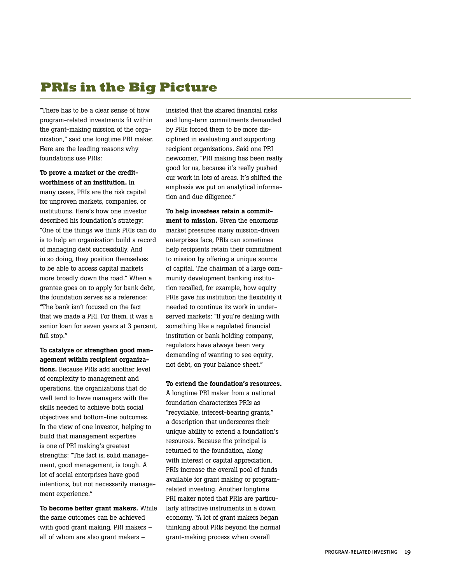## **PRIs in the Big Picture**

"There has to be a clear sense of how program-related investments fit within the grant-making mission of the organization," said one longtime PRI maker. Here are the leading reasons why foundations use PRIs:

To prove a market or the creditworthiness of an institution. In many cases, PRIs are the risk capital for unproven markets, companies, or institutions. Here's how one investor described his foundation's strategy: "One of the things we think PRIs can do is to help an organization build a record of managing debt successfully. And in so doing, they position themselves to be able to access capital markets more broadly down the road." When a grantee goes on to apply for bank debt, the foundation serves as a reference: "The bank isn't focused on the fact that we made a PRI. For them, it was a senior loan for seven years at 3 percent, full stop."

To catalyze or strengthen good management within recipient organizations. Because PRIs add another level of complexity to management and operations, the organizations that do well tend to have managers with the skills needed to achieve both social objectives and bottom-line outcomes. In the view of one investor, helping to build that management expertise is one of PRI making's greatest strengths: "The fact is, solid management, good management, is tough. A lot of social enterprises have good intentions, but not necessarily management experience."

To become better grant makers. While the same outcomes can be achieved with good grant making, PRI makers – all of whom are also grant makers –

insisted that the shared financial risks and long-term commitments demanded by PRIs forced them to be more disciplined in evaluating and supporting recipient organizations. Said one PRI newcomer, "PRI making has been really good for us, because it's really pushed our work in lots of areas. It's shifted the emphasis we put on analytical information and due diligence."

To help investees retain a commitment to mission. Given the enormous market pressures many mission-driven enterprises face, PRIs can sometimes help recipients retain their commitment to mission by offering a unique source of capital. The chairman of a large community development banking institution recalled, for example, how equity PRIs gave his institution the flexibility it needed to continue its work in underserved markets: "If you're dealing with something like a regulated financial institution or bank holding company, regulators have always been very demanding of wanting to see equity, not debt, on your balance sheet."

To extend the foundation's resources.

A longtime PRI maker from a national foundation characterizes PRIs as "recyclable, interest-bearing grants," a description that underscores their unique ability to extend a foundation's resources. Because the principal is returned to the foundation, along with interest or capital appreciation, PRIs increase the overall pool of funds available for grant making or programrelated investing. Another longtime PRI maker noted that PRIs are particularly attractive instruments in a down economy. "A lot of grant makers began thinking about PRIs beyond the normal grant-making process when overall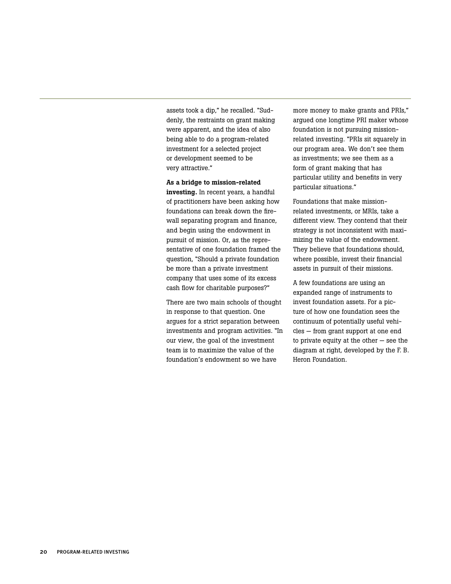assets took a dip," he recalled. "Suddenly, the restraints on grant making were apparent, and the idea of also being able to do a program-related investment for a selected project or development seemed to be very attractive."

As a bridge to mission-related

investing. In recent years, a handful of practitioners have been asking how foundations can break down the firewall separating program and finance, and begin using the endowment in pursuit of mission. Or, as the representative of one foundation framed the question, "Should a private foundation be more than a private investment company that uses some of its excess cash flow for charitable purposes?"

There are two main schools of thought in response to that question. One argues for a strict separation between investments and program activities. "In our view, the goal of the investment team is to maximize the value of the foundation's endowment so we have

more money to make grants and PRIs," argued one longtime PRI maker whose foundation is not pursuing missionrelated investing. "PRIs sit squarely in our program area. We don't see them as investments; we see them as a form of grant making that has particular utility and benefits in very particular situations."

Foundations that make missionrelated investments, or MRIs, take a different view. They contend that their strategy is not inconsistent with maximizing the value of the endowment. They believe that foundations should, where possible, invest their financial assets in pursuit of their missions.

A few foundations are using an expanded range of instruments to invest foundation assets. For a picture of how one foundation sees the continuum of potentially useful vehicles — from grant support at one end to private equity at the other — see the diagram at right, developed by the F. B. Heron Foundation.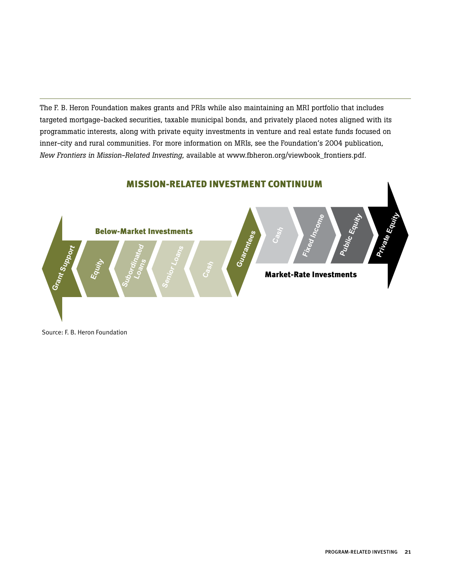The F. B. Heron Foundation makes grants and PRIs while also maintaining an MRI portfolio that includes targeted mortgage-backed securities, taxable municipal bonds, and privately placed notes aligned with its programmatic interests, along with private equity investments in venture and real estate funds focused on inner-city and rural communities. For more information on MRIs, see the Foundation's 2004 publication, *New Frontiers in Mission-Related Investing*, available at www.fbheron.org/viewbook\_frontiers.pdf.

#### MISSION-RELATED INVESTMENT CONTINUUM



Source: F. B. Heron Foundation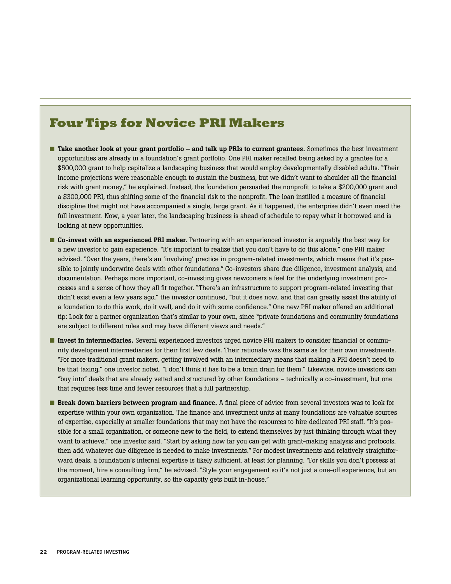## **Four Tips for Novice PRI Makers**

- Take another look at your grant portfolio and talk up PRIs to current grantees. Sometimes the best investment opportunities are already in a foundation's grant portfolio. One PRI maker recalled being asked by a grantee for a \$500,000 grant to help capitalize a landscaping business that would employ developmentally disabled adults. "Their income projections were reasonable enough to sustain the business, but we didn't want to shoulder all the financial risk with grant money," he explained. Instead, the foundation persuaded the nonprofit to take a \$200,000 grant and a \$300,000 PRI, thus shifting some of the financial risk to the nonprofit. The loan instilled a measure of financial discipline that might not have accompanied a single, large grant. As it happened, the enterprise didn't even need the full investment. Now, a year later, the landscaping business is ahead of schedule to repay what it borrowed and is looking at new opportunities.
- Co-invest with an experienced PRI maker. Partnering with an experienced investor is arguably the best way for a new investor to gain experience. "It's important to realize that you don't have to do this alone," one PRI maker advised. "Over the years, there's an 'involving' practice in program-related investments, which means that it's possible to jointly underwrite deals with other foundations." Co-investors share due diligence, investment analysis, and documentation. Perhaps more important, co-investing gives newcomers a feel for the underlying investment processes and a sense of how they all fit together. "There's an infrastructure to support program-related investing that didn't exist even a few years ago," the investor continued, "but it does now, and that can greatly assist the ability of a foundation to do this work, do it well, and do it with some confidence." One new PRI maker offered an additional tip: Look for a partner organization that's similar to your own, since "private foundations and community foundations are subject to different rules and may have different views and needs."
- Invest in intermediaries. Several experienced investors urged novice PRI makers to consider financial or community development intermediaries for their first few deals. Their rationale was the same as for their own investments. "For more traditional grant makers, getting involved with an intermediary means that making a PRI doesn't need to be that taxing," one investor noted. "I don't think it has to be a brain drain for them." Likewise, novice investors can "buy into" deals that are already vetted and structured by other foundations – technically a co-investment, but one that requires less time and fewer resources that a full partnership.
- Break down barriers between program and finance. A final piece of advice from several investors was to look for expertise within your own organization. The finance and investment units at many foundations are valuable sources of expertise, especially at smaller foundations that may not have the resources to hire dedicated PRI staff. "It's possible for a small organization, or someone new to the field, to extend themselves by just thinking through what they want to achieve," one investor said. "Start by asking how far you can get with grant-making analysis and protocols, then add whatever due diligence is needed to make investments." For modest investments and relatively straightforward deals, a foundation's internal expertise is likely sufficient, at least for planning. "For skills you don't possess at the moment, hire a consulting firm," he advised. "Style your engagement so it's not just a one-off experience, but an organizational learning opportunity, so the capacity gets built in-house."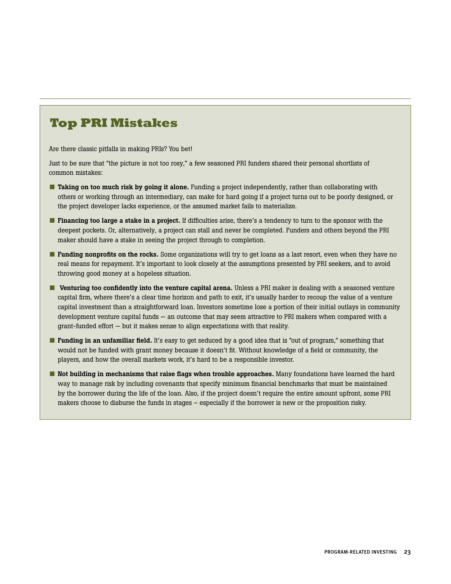## **Top PRI Mistakes**

Are there classic pitfalls in making PRIs? You bet!

Just to be sure that "the picture is not too rosy," a few seasoned PRI funders shared their personal shortlists of common mistakes:

- Taking on too much risk by going it alone. Funding a project independently, rather than collaborating with others or working through an intermediary, can make for hard going if a project turns out to be poorly designed, or the project developer lacks experience, or the assumed market fails to materialize.
- Financing too large a stake in a project. If difficulties arise, there's a tendency to turn to the sponsor with the deepest pockets. Or, alternatively, a project can stall and never be completed. Funders and others beyond the PRI maker should have a stake in seeing the project through to completion.
- **Funding nonprofits on the rocks.** Some organizations will try to get loans as a last resort, even when they have no real means for repayment. It's important to look closely at the assumptions presented by PRI seekers, and to avoid throwing good money at a hopeless situation.
- Venturing too confidently into the venture capital arena. Unless a PRI maker is dealing with a seasoned venture capital firm, where there's a clear time horizon and path to exit, it's usually harder to recoup the value of a venture capital investment than a straightforward loan. Investors sometime lose a portion of their initial outlays in community development venture capital funds — an outcome that may seem attractive to PRI makers when compared with a grant-funded effort — but it makes sense to align expectations with that reality.
- **Funding in an unfamiliar field.** It's easy to get seduced by a good idea that is "out of program," something that would not be funded with grant money because it doesn't fit. Without knowledge of a field or community, the players, and how the overall markets work, it's hard to be a responsible investor.
- Not building in mechanisms that raise flags when trouble approaches. Many foundations have learned the hard way to manage risk by including covenants that specify minimum financial benchmarks that must be maintained by the borrower during the life of the loan. Also, if the project doesn't require the entire amount upfront, some PRI makers choose to disburse the funds in stages – especially if the borrower is new or the proposition risky.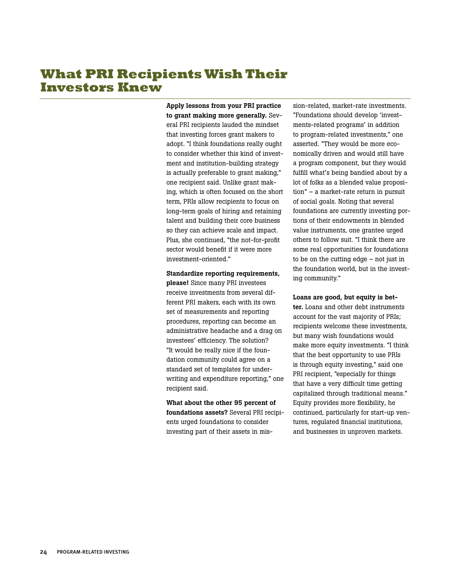## **What PRI Recipients Wish Their Investors Knew**

Apply lessons from your PRI practice to grant making more generally. Several PRI recipients lauded the mindset that investing forces grant makers to adopt. "I think foundations really ought to consider whether this kind of investment and institution-building strategy is actually preferable to grant making," one recipient said. Unlike grant making, which is often focused on the short term, PRIs allow recipients to focus on long-term goals of hiring and retaining talent and building their core business so they can achieve scale and impact. Plus, she continued, "the not-for-profit sector would benefit if it were more investment-oriented."

#### Standardize reporting requirements,

please! Since many PRI investees receive investments from several different PRI makers, each with its own set of measurements and reporting procedures, reporting can become an administrative headache and a drag on investees' efficiency. The solution? "It would be really nice if the foundation community could agree on a standard set of templates for underwriting and expenditure reporting," one recipient said.

What about the other 95 percent of foundations assets? Several PRI recipients urged foundations to consider investing part of their assets in mission-related, market-rate investments. "Foundations should develop 'investments-related programs' in addition to program-related investments," one asserted. "They would be more economically driven and would still have a program component, but they would fulfill what's being bandied about by a lot of folks as a blended value proposition" – a market-rate return in pursuit of social goals. Noting that several foundations are currently investing portions of their endowments in blended value instruments, one grantee urged others to follow suit. "I think there are some real opportunities for foundations to be on the cutting edge – not just in the foundation world, but in the investing community."

#### Loans are good, but equity is bet-

ter. Loans and other debt instruments account for the vast majority of PRIs; recipients welcome these investments, but many wish foundations would make more equity investments. "I think that the best opportunity to use PRIs is through equity investing," said one PRI recipient, "especially for things that have a very difficult time getting capitalized through traditional means." Equity provides more flexibility, he continued, particularly for start-up ventures, regulated financial institutions, and businesses in unproven markets.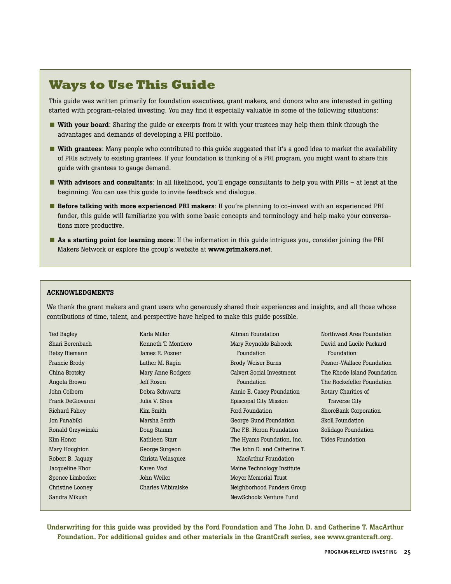## **Ways to Use This Guide**

This guide was written primarily for foundation executives, grant makers, and donors who are interested in getting started with program-related investing. You may find it especially valuable in some of the following situations:

- With your board: Sharing the guide or excerpts from it with your trustees may help them think through the advantages and demands of developing a PRI portfolio.
- With grantees: Many people who contributed to this guide suggested that it's a good idea to market the availability of PRIs actively to existing grantees. If your foundation is thinking of a PRI program, you might want to share this guide with grantees to gauge demand.
- With advisors and consultants: In all likelihood, you'll engage consultants to help you with PRIs at least at the beginning. You can use this guide to invite feedback and dialogue.
- Before talking with more experienced PRI makers: If you're planning to co-invest with an experienced PRI funder, this guide will familiarize you with some basic concepts and terminology and help make your conversations more productive.
- As a starting point for learning more: If the information in this guide intrigues you, consider joining the PRI Makers Network or explore the group's website at www.primakers.net.

#### ACKNOWLEDGMENTS

We thank the grant makers and grant users who generously shared their experiences and insights, and all those whose contributions of time, talent, and perspective have helped to make this guide possible.

| Ted Bagley        | Karla Miller        | Altman Foundation            | Northwest Area Foundation   |
|-------------------|---------------------|------------------------------|-----------------------------|
| Shari Berenbach   | Kenneth T. Montiero | Mary Reynolds Babcock        | David and Lucile Packard    |
| Betsy Biemann     | James R. Posner     | Foundation                   | Foundation                  |
| Francie Brody     | Luther M. Ragin     | <b>Brody Weiser Burns</b>    | Posner-Wallace Foundation   |
| China Brotsky     | Mary Anne Rodgers   | Calvert Social Investment    | The Rhode Island Foundation |
| Angela Brown      | Jeff Rosen          | Foundation                   | The Rockefeller Foundation  |
| John Colborn      | Debra Schwartz      | Annie E. Casey Foundation    | Rotary Charities of         |
| Frank DeGiovanni  | Julia V. Shea       | Episcopal City Mission       | <b>Traverse City</b>        |
| Richard Fahey     | Kim Smith           | Ford Foundation              | ShoreBank Corporation       |
| Jon Funabiki      | Marsha Smith        | George Gund Foundation       | <b>Skoll Foundation</b>     |
| Ronald Grzywinski | Doug Stamm          | The F.B. Heron Foundation    | Solidago Foundation         |
| Kim Honor         | Kathleen Starr      | The Hyams Foundation, Inc.   | <b>Tides Foundation</b>     |
| Mary Houghton     | George Surgeon      | The John D. and Catherine T. |                             |
| Robert B. Jaquay  | Christa Velasquez   | <b>MacArthur Foundation</b>  |                             |
| Jacqueline Khor   | Karen Voci          | Maine Technology Institute   |                             |
| Spence Limbocker  | John Weiler         | Meyer Memorial Trust         |                             |
| Christine Looney  | Charles Wibiralske  | Neighborhood Funders Group   |                             |
| Sandra Mikush     |                     | NewSchools Venture Fund      |                             |

Underwriting for this guide was provided by the Ford Foundation and The John D. and Catherine T. MacArthur Foundation. For additional guides and other materials in the GrantCraft series, see www.grantcraft.org.